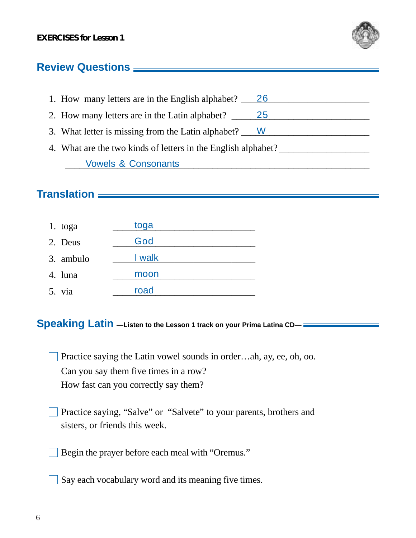

## **Review Questions**

| 1. How many letters are in the English alphabet? 26           |  |  |
|---------------------------------------------------------------|--|--|
| 2. How many letters are in the Latin alphabet? 25             |  |  |
| 3. What letter is missing from the Latin alphabet? W          |  |  |
| 4. What are the two kinds of letters in the English alphabet? |  |  |
| <b>Vowels &amp; Consonants</b>                                |  |  |

## **Translation**

| 1. toga   | toga   |
|-----------|--------|
| 2. Deus   | God    |
| 3. ambulo | I walk |
| 4. luna   | moon   |
| 5. via    | road   |

## **Speaking Latin —Listen to the Lesson 1 track on your Prima Latina CD—**

Practice saying the Latin vowel sounds in order…ah, ay, ee, oh, oo. Can you say them five times in a row? How fast can you correctly say them?

- Practice saying, "Salve" or "Salvete" to your parents, brothers and sisters, or friends this week.
- Begin the prayer before each meal with "Oremus."
- Say each vocabulary word and its meaning five times.